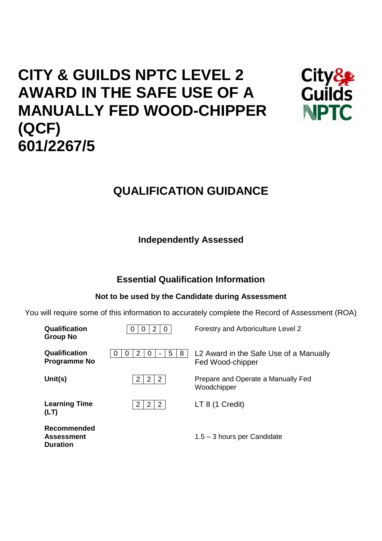# **CITY & GUILDS NPTC LEVEL 2 AWARD IN THE SAFE USE OF A MANUALLY FED WOOD-CHIPPER (QCF) 601/2267/5**



## **QUALIFICATION GUIDANCE**

**Independently Assessed**

## **Essential Qualification Information**

## **Not to be used by the Candidate during Assessment**

You will require some of this information to accurately complete the Record of Assessment (ROA)

| Qualification<br><b>Group No</b>                    | 2<br>0<br>-0                                     | Forestry and Arboriculture Level 2                         |
|-----------------------------------------------------|--------------------------------------------------|------------------------------------------------------------|
| Qualification<br><b>Programme No</b>                | 5<br>8<br>2<br>0<br>O<br>O                       | L2 Award in the Safe Use of a Manually<br>Fed Wood-chipper |
| Unit(s)                                             | $\mathbf{2}$<br>$\overline{2}$<br>2              | Prepare and Operate a Manually Fed<br>Woodchipper          |
| <b>Learning Time</b><br>(LT)                        | $\mathbf{2}$<br>$\overline{2}$<br>$\overline{2}$ | LT 8(1 Credit)                                             |
| Recommended<br><b>Assessment</b><br><b>Duration</b> |                                                  | $1.5 - 3$ hours per Candidate                              |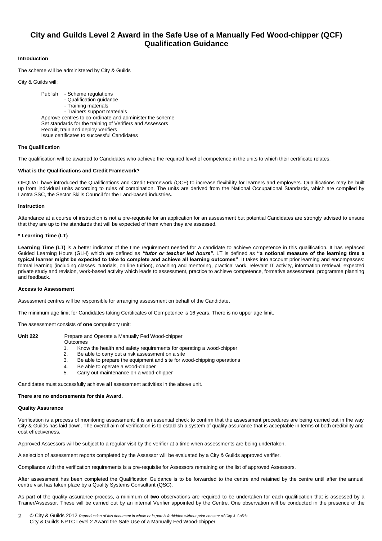### **City and Guilds Level 2 Award in the Safe Use of a Manually Fed Wood-chipper (QCF) Qualification Guidance**

#### **Introduction**

The scheme will be administered by City & Guilds

City & Guilds will:

Publish - Scheme regulations - Qualification guidance - Training materials - Trainers support materials Approve centres to co-ordinate and administer the scheme Set standards for the training of Verifiers and Assessors Recruit, train and deploy Verifiers Issue certificates to successful Candidates

#### **The Qualification**

The qualification will be awarded to Candidates who achieve the required level of competence in the units to which their certificate relates.

#### **What is the Qualifications and Credit Framework?**

OFQUAL have introduced the Qualifications and Credit Framework (QCF) to increase flexibility for learners and employers. Qualifications may be built up from individual units according to rules of combination. The units are derived from the National Occupational Standards, which are compiled by Lantra SSC, the Sector Skills Council for the Land-based industries.

#### **Instruction**

Attendance at a course of instruction is not a pre-requisite for an application for an assessment but potential Candidates are strongly advised to ensure that they are up to the standards that will be expected of them when they are assessed.

#### **\* Learning Time (LT)**

Learning Time (LT) is a better indicator of the time requirement needed for a candidate to achieve competence in this qualification. It has replaced Guided Learning Hours (GLH) which are defined as *"tutor or teacher led hours"*. LT is defined as **"a notional measure of the learning time a typical learner might be expected to take to complete and achieve all learning outcomes"**. It takes into account prior learning and encompasses: formal learning (including classes, tutorials, on line tuition), coaching and mentoring, practical work, relevant IT activity, information retrieval, expected private study and revision, work-based activity which leads to assessment, practice to achieve competence, formative assessment, programme planning and feedback.

#### **Access to Assessment**

Assessment centres will be responsible for arranging assessment on behalf of the Candidate.

The minimum age limit for Candidates taking Certificates of Competence is 16 years. There is no upper age limit.

The assessment consists of **one** compulsory unit:

#### Unit 222 **Prepare and Operate a Manually Fed Wood-chipper**

**Outcomes** 

- 1. Know the health and safety requirements for operating a wood-chipper
- 
- 2. Be able to carry out a risk assessment on a site
- 3. Be able to prepare the equipment and site for wood-chipping operations
- 4. Be able to operate a wood-chipper
- 5. Carry out maintenance on a wood-chipper

Candidates must successfully achieve **all** assessment activities in the above unit.

#### **There are no endorsements for this Award.**

#### **Quality Assurance**

Verification is a process of monitoring assessment; it is an essential check to confirm that the assessment procedures are being carried out in the way City & Guilds has laid down. The overall aim of verification is to establish a system of quality assurance that is acceptable in terms of both credibility and cost effectiveness.

Approved Assessors will be subject to a regular visit by the verifier at a time when assessments are being undertaken.

A selection of assessment reports completed by the Assessor will be evaluated by a City & Guilds approved verifier.

Compliance with the verification requirements is a pre-requisite for Assessors remaining on the list of approved Assessors.

After assessment has been completed the Qualification Guidance is to be forwarded to the centre and retained by the centre until after the annual centre visit has taken place by a Quality Systems Consultant (QSC).

As part of the quality assurance process, a minimum of **two** observations are required to be undertaken for each qualification that is assessed by a Trainer/Assessor. These will be carried out by an internal Verifier appointed by the Centre. One observation will be conducted in the presence of the

© City & Guilds 2012 *Reproduction of this document in whole or in part is forbidden without prior consent of City & Guilds* City & Guilds NPTC Level 2 Award the Safe Use of a Manually Fed Wood-chipper 2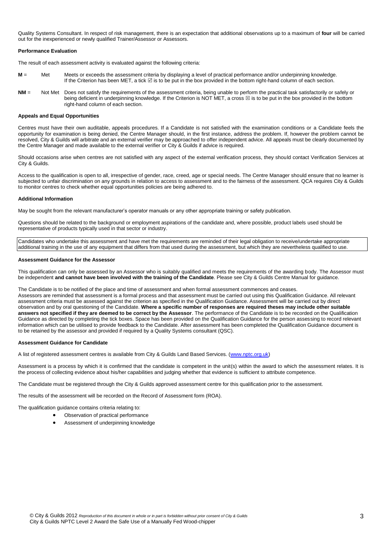Quality Systems Consultant. In respect of risk management, there is an expectation that additional observations up to a maximum of **four** will be carried out for the inexperienced or newly qualified Trainer/Assessor or Assessors.

#### **Performance Evaluation**

The result of each assessment activity is evaluated against the following criteria:

- **M** = Met Meets or exceeds the assessment criteria by displaying a level of practical performance and/or underpinning knowledge. If the Criterion has been MET, a tick  $\boxtimes$  is to be put in the box provided in the bottom right-hand column of each section.
- **NM** = Not Met Does not satisfy the requirements of the assessment criteria, being unable to perform the practical task satisfactorily or safely or being deficient in underpinning knowledge. If the Criterion is NOT MET, a cross  $\boxtimes$  is to be put in the box provided in the bottom right-hand column of each section.

#### **Appeals and Equal Opportunities**

Centres must have their own auditable, appeals procedures. If a Candidate is not satisfied with the examination conditions or a Candidate feels the opportunity for examination is being denied, the Centre Manager should, in the first instance, address the problem. If, however the problem cannot be resolved, City & Guilds will arbitrate and an external verifier may be approached to offer independent advice. All appeals must be clearly documented by the Centre Manager and made available to the external verifier or City & Guilds if advice is required.

Should occasions arise when centres are not satisfied with any aspect of the external verification process, they should contact Verification Services at City & Guilds.

Access to the qualification is open to all, irrespective of gender, race, creed, age or special needs. The Centre Manager should ensure that no learner is subjected to unfair discrimination on any grounds in relation to access to assessment and to the fairness of the assessment. QCA requires City & Guilds to monitor centres to check whether equal opportunities policies are being adhered to.

#### **Additional Information**

May be sought from the relevant manufacturer's operator manuals or any other appropriate training or safety publication.

Questions should be related to the background or employment aspirations of the candidate and, where possible, product labels used should be representative of products typically used in that sector or industry.

Candidates who undertake this assessment and have met the requirements are reminded of their legal obligation to receive/undertake appropriate additional training in the use of any equipment that differs from that used during the assessment, but which they are nevertheless qualified to use.

#### **Assessment Guidance for the Assessor**

This qualification can only be assessed by an Assessor who is suitably qualified and meets the requirements of the awarding body. The Assessor must be independent **and cannot have been involved with the training of the Candidate**. Please see City & Guilds Centre Manual for guidance.

The Candidate is to be notified of the place and time of assessment and when formal assessment commences and ceases. Assessors are reminded that assessment is a formal process and that assessment must be carried out using this Qualification Guidance. All relevant assessment criteria must be assessed against the criterion as specified in the Qualification Guidance. Assessment will be carried out by direct observation and by oral questioning of the Candidate. **Where a specific number of responses are required theses may include other suitable answers not specified if they are deemed to be correct by the Assessor**. The performance of the Candidate is to be recorded on the Qualification Guidance as directed by completing the tick boxes. Space has been provided on the Qualification Guidance for the person assessing to record relevant information which can be utilised to provide feedback to the Candidate. After assessment has been completed the Qualification Guidance document is to be retained by the assessor and provided if required by a Quality Systems consultant (QSC).

#### **Assessment Guidance for Candidate**

A list of registered assessment centres is available from City & Guilds Land Based Services. [\(www.nptc.org.uk\)](http://www.nptc.org.uk/)

Assessment is a process by which it is confirmed that the candidate is competent in the unit(s) within the award to which the assessment relates. It is the process of collecting evidence about his/her capabilities and judging whether that evidence is sufficient to attribute competence.

The Candidate must be registered through the City & Guilds approved assessment centre for this qualification prior to the assessment.

The results of the assessment will be recorded on the Record of Assessment form (ROA).

The qualification guidance contains criteria relating to:

- Observation of practical performance
	- Assessment of underpinning knowledge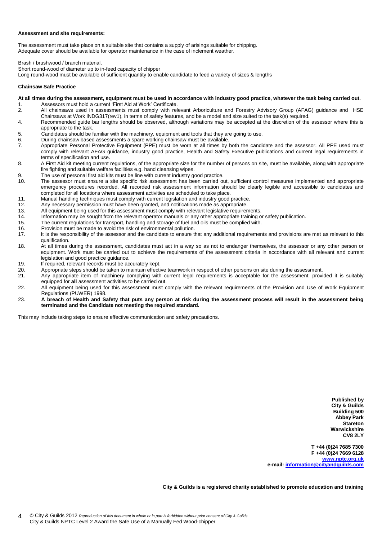#### **Assessment and site requirements:**

The assessment must take place on a suitable site that contains a supply of arisings suitable for chipping. Adequate cover should be available for operator maintenance in the case of inclement weather.

Brash / brushwood / branch material,

Short round-wood of diameter up to in-feed capacity of chipper

Long round-wood must be available of sufficient quantity to enable candidate to feed a variety of sizes & lengths

#### **Chainsaw Safe Practice**

#### **At all times during the assessment, equipment must be used in accordance with industry good practice, whatever the task being carried out.**

- 1. Assessors must hold a current 'First Aid at Work' Certificate.<br>2. All chainsaws used in assessments must comply with rel
- All chainsaws used in assessments must comply with relevant Arboriculture and Forestry Advisory Group (AFAG) guidance and HSE Chainsaws at Work INDG317(rev1), in terms of safety features, and be a model and size suited to the task(s) required.
- 4. Recommended guide bar lengths should be observed, although variations may be accepted at the discretion of the assessor where this is appropriate to the task.
- 5. Candidates should be familiar with the machinery, equipment and tools that they are going to use.
- 6. During chainsaw based assessments a spare working chainsaw must be available.<br>7. Appropriate Personal Protective Equipment (PPE) must be worn at all times by
- Appropriate Personal Protective Equipment (PPE) must be worn at all times by both the candidate and the assessor. All PPE used must comply with relevant AFAG guidance, industry good practice, Health and Safety Executive publications and current legal requirements in terms of specification and use.
- 8. A First Aid kit meeting current regulations, of the appropriate size for the number of persons on site, must be available, along with appropriate fire fighting and suitable welfare facilities e.g. hand cleansing wipes.
- 9. The use of personal first aid kits must be line with current industry good practice.<br>10. The assessor must ensure a site specific risk assessment has been carried or
- The assessor must ensure a site specific risk assessment has been carried out, sufficient control measures implemented and appropriate emergency procedures recorded. All recorded risk assessment information should be clearly legible and accessible to candidates and completed for all locations where assessment activities are scheduled to take place.
- 11. Manual handling techniques must comply with current legislation and industry good practice.
- 
- 12. Any necessary permission must have been granted, and notifications made as appropriate. 13. All equipment being used for this assessment must comply with relevant legislative requirements.<br>14. Information may be sought from the relevant operator manuals or any other appropriate training o
- 14. Information may be sought from the relevant operator manuals or any other appropriate training or safety publication.<br>15. The current requilations for transport, bandling and storage of fuel and oils must be complied w
- 15. The current regulations for transport, handling and storage of fuel and oils must be complied with.
- 
- 16. Provision must be made to avoid the risk of environmental pollution.<br>17. It is the responsibility of the assessor and the candidate to ensure to It is the responsibility of the assessor and the candidate to ensure that any additional requirements and provisions are met as relevant to this qualification.
- 18. At all times during the assessment, candidates must act in a way so as not to endanger themselves, the assessor or any other person or equipment. Work must be carried out to achieve the requirements of the assessment criteria in accordance with all relevant and current legislation and good practice guidance.
- 19. If required, relevant records must be accurately kept.<br>20. Appropriate steps should be taken to maintain effectively
- Appropriate steps should be taken to maintain effective teamwork in respect of other persons on site during the assessment.
- 21. Any appropriate item of machinery complying with current legal requirements is acceptable for the assessment, provided it is suitably equipped for **all** assessment activities to be carried out.
- 22. All equipment being used for this assessment must comply with the relevant requirements of the Provision and Use of Work Equipment Regulations (PUWER) 1998.
- 23. **A breach of Health and Safety that puts any person at risk during the assessment process will result in the assessment being terminated and the Candidate not meeting the required standard.**

This may include taking steps to ensure effective communication and safety precautions.

**Published by City & Guilds Building 500 Abbey Park Stareton Warwickshire CV8 2LY**

**T +44 (0)24 7685 7300 F +44 (0)24 7669 6128 [www.nptc.org.uk](http://www.nptc.org.uk/) e-mail: [information@cityandguilds.com](mailto:information@cityandguilds.com)**

**City & Guilds is a registered charity established to promote education and training**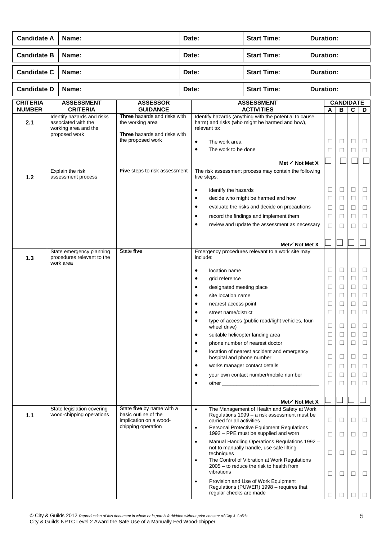| <b>Candidate A</b>               | Name:                                                                                      |                                                                                                       | Date:                                                                                                                               |                                                                                                                                                                                            | <b>Start Time:</b>                                                                                                                                                                                                                                                                                                                | <b>Duration:</b> |                                                                                                       |                                                                                                            |                                                                                   |                                                                                             |  |
|----------------------------------|--------------------------------------------------------------------------------------------|-------------------------------------------------------------------------------------------------------|-------------------------------------------------------------------------------------------------------------------------------------|--------------------------------------------------------------------------------------------------------------------------------------------------------------------------------------------|-----------------------------------------------------------------------------------------------------------------------------------------------------------------------------------------------------------------------------------------------------------------------------------------------------------------------------------|------------------|-------------------------------------------------------------------------------------------------------|------------------------------------------------------------------------------------------------------------|-----------------------------------------------------------------------------------|---------------------------------------------------------------------------------------------|--|
| <b>Candidate B</b>               | Name:                                                                                      |                                                                                                       | Date:                                                                                                                               |                                                                                                                                                                                            | <b>Start Time:</b>                                                                                                                                                                                                                                                                                                                | <b>Duration:</b> |                                                                                                       |                                                                                                            |                                                                                   |                                                                                             |  |
| <b>Candidate C</b>               | Name:                                                                                      |                                                                                                       | Date:                                                                                                                               |                                                                                                                                                                                            | <b>Start Time:</b>                                                                                                                                                                                                                                                                                                                |                  | <b>Duration:</b>                                                                                      |                                                                                                            |                                                                                   |                                                                                             |  |
| <b>Candidate D</b>               | Name:                                                                                      |                                                                                                       | Date:                                                                                                                               |                                                                                                                                                                                            | <b>Start Time:</b>                                                                                                                                                                                                                                                                                                                |                  | <b>Duration:</b>                                                                                      |                                                                                                            |                                                                                   |                                                                                             |  |
| <b>CRITERIA</b><br><b>NUMBER</b> | <b>ASSESSMENT</b><br><b>CRITERIA</b>                                                       | <b>ASSESSOR</b><br><b>GUIDANCE</b>                                                                    |                                                                                                                                     |                                                                                                                                                                                            | <b>ASSESSMENT</b><br><b>ACTIVITIES</b>                                                                                                                                                                                                                                                                                            |                  | A                                                                                                     | <b>CANDIDATE</b><br>$\overline{\mathbf{B}}$                                                                | C                                                                                 | D                                                                                           |  |
| 2.1                              | Identify hazards and risks<br>associated with the<br>working area and the<br>proposed work | Three hazards and risks with<br>the working area<br>Three hazards and risks with<br>the proposed work | $\bullet$<br>$\bullet$                                                                                                              | relevant to:<br>The work area<br>The work to be done                                                                                                                                       | Identify hazards (anything with the potential to cause<br>harm) and risks (who might be harmed and how),<br>Met $\checkmark$ Not Met X                                                                                                                                                                                            |                  | $\Box$<br>□                                                                                           | □<br>⊔                                                                                                     | □<br>□                                                                            | □<br>⊔                                                                                      |  |
| 1.2                              | Explain the risk<br>assessment process                                                     | Five steps to risk assessment                                                                         |                                                                                                                                     | five steps:                                                                                                                                                                                | The risk assessment process may contain the following                                                                                                                                                                                                                                                                             |                  |                                                                                                       |                                                                                                            |                                                                                   |                                                                                             |  |
|                                  |                                                                                            |                                                                                                       | $\bullet$<br>$\bullet$<br>$\bullet$<br>$\bullet$<br>$\bullet$                                                                       | identify the hazards                                                                                                                                                                       | decide who might be harmed and how<br>evaluate the risks and decide on precautions<br>record the findings and implement them<br>review and update the assessment as necessary                                                                                                                                                     |                  | $\Box$<br>□<br>Ц<br>$\Box$<br>$\Box$                                                                  | $\Box$<br>$\Box$<br>□<br>□<br>$\Box$                                                                       | □<br>□<br>⊔<br>□<br>□                                                             | □<br>□<br>⊔<br>□<br>$\Box$                                                                  |  |
|                                  |                                                                                            |                                                                                                       |                                                                                                                                     |                                                                                                                                                                                            | Met $\checkmark$ Not Met X                                                                                                                                                                                                                                                                                                        |                  |                                                                                                       |                                                                                                            |                                                                                   |                                                                                             |  |
| 1.3                              | State emergency planning<br>procedures relevant to the<br>work area                        | State five                                                                                            | $\bullet$<br>$\bullet$<br>$\bullet$<br>٠<br>$\bullet$<br>$\bullet$<br>$\bullet$<br>$\bullet$<br>$\bullet$<br>$\bullet$<br>$\bullet$ | include:<br>location name<br>grid reference<br>designated meeting place<br>site location name<br>nearest access point<br>street name/district<br>wheel drive)<br>hospital and phone number | Emergency procedures relevant to a work site may<br>type of access (public road/light vehicles, four-<br>suitable helicopter landing area<br>phone number of nearest doctor<br>location of nearest accident and emergency<br>works manager contact details<br>your own contact number/mobile number<br>Met $\checkmark$ Not Met X |                  | □<br>$\Box$<br>⊔<br>$\Box$<br>⊔<br>$\Box$<br>$\Box$<br>$\Box$<br>$\Box$<br>$\Box$<br>$\Box$<br>□<br>□ | $\Box$<br>$\Box$<br>□<br>$\Box$<br>□<br>П<br>$\Box$<br>$\Box$<br>$\Box$<br>$\Box$<br>□<br>$\Box$<br>$\Box$ | $\Box$<br>□<br>□<br>□<br>□<br>□<br>$\Box$<br>□<br>$\Box$<br>$\Box$<br>□<br>□<br>□ | □<br>$\Box$<br>□<br>$\Box$<br>□<br>□<br>□<br>□<br>$\Box$<br>$\Box$<br>□<br>$\Box$<br>$\Box$ |  |
| 1.1                              | State legislation covering<br>wood-chipping operations                                     | State five by name with a<br>basic outline of the<br>implication on a wood-                           | $\bullet$                                                                                                                           | carried for all activities                                                                                                                                                                 | The Management of Health and Safety at Work<br>Regulations 1999 - a risk assessment must be                                                                                                                                                                                                                                       |                  | $\Box$                                                                                                | $\Box$                                                                                                     | □                                                                                 | □                                                                                           |  |
|                                  |                                                                                            | chipping operation                                                                                    | $\bullet$                                                                                                                           |                                                                                                                                                                                            | Personal Protective Equipment Regulations<br>1992 - PPE must be supplied and worn                                                                                                                                                                                                                                                 |                  | $\Box$                                                                                                | $\Box$                                                                                                     | □                                                                                 | $\Box$                                                                                      |  |
|                                  |                                                                                            |                                                                                                       | $\bullet$<br>$\bullet$                                                                                                              | techniques<br>vibrations                                                                                                                                                                   | Manual Handling Operations Regulations 1992 -<br>not to manually handle, use safe lifting<br>The Control of Vibration at Work Regulations<br>2005 – to reduce the risk to health from                                                                                                                                             |                  | $\Box$                                                                                                | $\Box$                                                                                                     | □                                                                                 | $\Box$                                                                                      |  |
|                                  |                                                                                            |                                                                                                       | $\bullet$                                                                                                                           | regular checks are made                                                                                                                                                                    | Provision and Use of Work Equipment<br>Regulations (PUWER) 1998 - requires that                                                                                                                                                                                                                                                   |                  | □<br>$\Box$                                                                                           | $\Box$                                                                                                     | ⊔                                                                                 | □                                                                                           |  |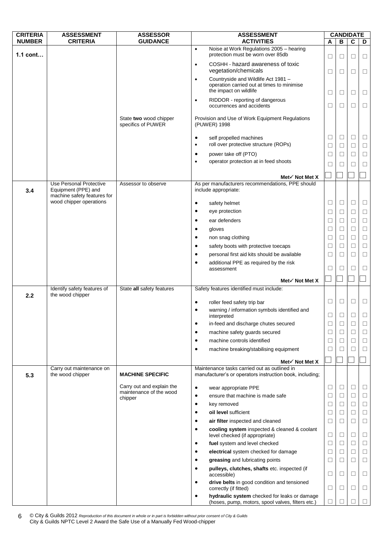| <b>CRITERIA</b> | <b>ASSESSMENT</b>                                      | <b>ASSESSOR</b>                              | <b>ASSESSMENT</b>                                                                                                        | <b>CANDIDATE</b> |                   |             |        |
|-----------------|--------------------------------------------------------|----------------------------------------------|--------------------------------------------------------------------------------------------------------------------------|------------------|-------------------|-------------|--------|
| <b>NUMBER</b>   | <b>CRITERIA</b>                                        | <b>GUIDANCE</b>                              | <b>ACTIVITIES</b>                                                                                                        | A                | B                 | С           | D      |
| $1.1$ cont      |                                                        |                                              | Noise at Work Regulations 2005 - hearing<br>$\bullet$<br>protection must be worn over 85db                               | □                | □                 | □           | ⊔      |
|                 |                                                        |                                              | COSHH - hazard awareness of toxic<br>٠<br>vegetation/chemicals                                                           | $\Box$           | □                 | $\Box$      | $\Box$ |
|                 |                                                        |                                              | Countryside and Wildlife Act 1981 -<br>$\bullet$<br>operation carried out at times to minimise<br>the impact on wildlife | $\Box$           | □                 | $\Box$      | ⊔      |
|                 |                                                        |                                              | RIDDOR - reporting of dangerous<br>$\bullet$<br>occurrences and accidents                                                | $\Box$           | $\Box$            | $\Box$      | $\Box$ |
|                 |                                                        | State two wood chipper<br>specifics of PUWER | Provision and Use of Work Equipment Regulations<br>(PUWER) 1998                                                          |                  |                   |             |        |
|                 |                                                        |                                              | self propelled machines<br>٠<br>roll over protective structure (ROPs)<br>٠                                               | $\Box$<br>□      | $\Box$<br>⊔       | $\Box$<br>□ | ⊔<br>⊔ |
|                 |                                                        |                                              | power take off (PTO)<br>$\bullet$<br>operator protection at in feed shoots<br>٠                                          | $\Box$<br>□      | $\vert \ \ \vert$ | $\Box$<br>П | □<br>□ |
|                 |                                                        |                                              | Met√ Not Met X                                                                                                           |                  |                   |             |        |
| 3.4             | Use Personal Protective<br>Equipment (PPE) and         | Assessor to observe                          | As per manufacturers recommendations, PPE should<br>include appropriate:                                                 |                  |                   |             |        |
|                 | machine safety features for<br>wood chipper operations |                                              | safety helmet<br>٠                                                                                                       | $\Box$           | $\Box$            | $\Box$      | $\Box$ |
|                 |                                                        |                                              | eye protection<br>٠                                                                                                      | $\Box$           | ⊔                 | $\Box$      | □      |
|                 |                                                        |                                              | ear defenders                                                                                                            | □                | □                 | $\Box$      | $\Box$ |
|                 |                                                        |                                              | gloves                                                                                                                   | $\Box$           | $\Box$            | $\Box$      | $\Box$ |
|                 |                                                        |                                              | non snag clothing<br>٠                                                                                                   | $\Box$           | □                 | $\Box$      | $\Box$ |
|                 |                                                        |                                              | safety boots with protective toecaps<br>$\bullet$                                                                        | $\Box$           | □                 | $\Box$      | $\Box$ |
|                 |                                                        |                                              | personal first aid kits should be available<br>٠                                                                         | □                | ⊔                 | $\Box$      | $\Box$ |
|                 |                                                        |                                              | additional PPE as required by the risk<br>٠<br>assessment                                                                | □                | □                 | П           | □      |
|                 |                                                        |                                              | Met√ Not Met X                                                                                                           |                  |                   |             |        |
| 2.2             | Identify safety features of<br>the wood chipper        | State all safety features                    | Safety features identified must include:                                                                                 |                  |                   |             |        |
|                 |                                                        |                                              | roller feed safety trip bar<br>$\bullet$                                                                                 | $\Box$           | □                 | $\Box$      | $\Box$ |
|                 |                                                        |                                              | warning / information symbols identified and<br>interpreted                                                              | $\Box$           | П                 | п           | П      |
|                 |                                                        |                                              | in-feed and discharge chutes secured<br>$\bullet$                                                                        | □                |                   |             | $\Box$ |
|                 |                                                        |                                              | machine safety guards secured<br>٠                                                                                       | ⊔                | ⊔                 | □           | ⊔      |
|                 |                                                        |                                              | machine controls identified<br>٠                                                                                         | $\Box$           | □                 | $\Box$      | $\Box$ |
|                 |                                                        |                                              | machine breaking/stabilising equipment                                                                                   | $\Box$           |                   |             | $\Box$ |
|                 |                                                        |                                              | Met $\checkmark$ Not Met X                                                                                               |                  |                   |             |        |
| 5.3             | Carry out maintenance on<br>the wood chipper           | <b>MACHINE SPECIFIC</b>                      | Maintenance tasks carried out as outlined in<br>manufacturer's or operators instruction book, including;                 |                  |                   |             |        |
|                 |                                                        | Carry out and explain the                    | wear appropriate PPE<br>٠                                                                                                | $\Box$           | $\Box$            | $\Box$      | ⊔      |
|                 |                                                        | maintenance of the wood<br>chipper           | ensure that machine is made safe<br>٠                                                                                    | □                | ⊔                 | $\Box$      | ⊔      |
|                 |                                                        |                                              | key removed<br>٠                                                                                                         | $\Box$           | □                 | $\Box$      | $\Box$ |
|                 |                                                        |                                              | oil level sufficient<br>$\bullet$                                                                                        | $\Box$           | ⊔                 | $\Box$      | □      |
|                 |                                                        |                                              | air filter inspected and cleaned                                                                                         | ⊔                | ⊔                 | ⊔           | ⊔      |
|                 |                                                        |                                              | cooling system inspected & cleaned & coolant<br>$\bullet$<br>level checked (if appropriate)                              | □                | $\Box$            | $\Box$      | $\Box$ |
|                 |                                                        |                                              | fuel system and level checked<br>$\bullet$                                                                               | $\Box$           | ⊔                 | $\Box$      | $\Box$ |
|                 |                                                        |                                              | electrical system checked for damage                                                                                     | □                | ⊔                 | □           | ⊔      |
|                 |                                                        |                                              | greasing and lubricating points                                                                                          | $\Box$           | $\Box$            | $\Box$      | $\Box$ |
|                 |                                                        |                                              | pulleys, clutches, shafts etc. inspected (if<br>accessible)                                                              | □                | $\Box$            | $\Box$      | ⊔      |
|                 |                                                        |                                              | drive belts in good condition and tensioned<br>$\bullet$<br>correctly (if fitted)                                        | $\Box$           | □                 | $\Box$      | $\Box$ |
|                 |                                                        |                                              | hydraulic system checked for leaks or damage<br>(hoses, pump, motors, spool valves, filters etc.)                        | □                |                   |             |        |

© City & Guilds 2012 *Reproduction of this document in whole or in part is forbidden without prior consent of City & Guilds* City & Guilds NPTC Level 2 Award the Safe Use of a Manually Fed Wood-chipper 6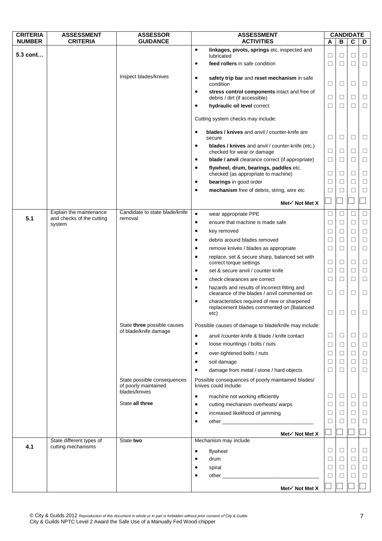| <b>CRITERIA</b> | <b>ASSESSMENT</b>         | <b>ASSESSOR</b>                                                      | <b>ASSESSMENT</b>                                                                                              |        |        | <b>CANDIDATE</b> |        |
|-----------------|---------------------------|----------------------------------------------------------------------|----------------------------------------------------------------------------------------------------------------|--------|--------|------------------|--------|
| <b>NUMBER</b>   | <b>CRITERIA</b>           | <b>GUIDANCE</b>                                                      | <b>ACTIVITIES</b>                                                                                              | Α      | B      | C                | D      |
| 5.3 cont        |                           |                                                                      | linkages, pivots, springs etc. inspected and<br>$\bullet$<br>lubricated                                        | □      | $\Box$ | □                | $\Box$ |
|                 |                           |                                                                      | feed rollers in safe condition<br>٠                                                                            | ⊔      | $\Box$ | □                | $\Box$ |
|                 |                           | Inspect blades/knives                                                | safety trip bar and reset mechanism in safe<br>$\bullet$<br>condition                                          | $\Box$ | $\Box$ | □                | $\Box$ |
|                 |                           |                                                                      | stress control components intact and free of<br>$\bullet$<br>debris / dirt (if accessible)                     | $\Box$ | $\Box$ | $\Box$           | $\Box$ |
|                 |                           |                                                                      | hydraulic oil level correct<br>$\bullet$                                                                       | ⊔      | $\Box$ | П                | $\Box$ |
|                 |                           |                                                                      | Cutting system checks may include:                                                                             |        |        |                  |        |
|                 |                           |                                                                      | blades / knives and anvil / counter-knife are<br>$\bullet$<br>secure                                           | □      | $\Box$ | ⊔                | □      |
|                 |                           |                                                                      | blades / knives and anvil / counter-knife (etc.)<br>$\bullet$<br>checked for wear or damage                    | $\Box$ | $\Box$ | $\Box$           | $\Box$ |
|                 |                           |                                                                      | blade / anvil clearance correct (if appropriate)<br>$\bullet$                                                  | □      | $\Box$ | □                | $\Box$ |
|                 |                           |                                                                      | flywheel, drum, bearings, paddles etc.<br>$\bullet$<br>checked (as appropriate to machine)                     | ⊔      | □      | □                | $\Box$ |
|                 |                           |                                                                      | bearings in good order<br>$\bullet$                                                                            | $\Box$ | $\Box$ | □                | $\Box$ |
|                 |                           |                                                                      | mechanism free of debris, string, wire etc<br>$\bullet$                                                        | □      | $\Box$ | П                | $\Box$ |
|                 |                           |                                                                      | Met√ Not Met X                                                                                                 |        |        |                  |        |
|                 | Explain the maintenance   | Candidate to state blade/knife                                       | $\bullet$<br>wear appropriate PPE                                                                              | ⊔      | $\Box$ | П                | $\Box$ |
| 5.1             | and checks of the cutting | removal                                                              | ensure that machine is made safe<br>$\bullet$                                                                  | $\Box$ | $\Box$ | □                | $\Box$ |
|                 | system                    |                                                                      | key removed<br>$\bullet$                                                                                       | ⊔      | $\Box$ | □                | $\Box$ |
|                 |                           |                                                                      | debris around blades removed<br>٠                                                                              | $\Box$ | $\Box$ | $\Box$           | $\Box$ |
|                 |                           |                                                                      | remove knives / blades as appropriate<br>٠                                                                     | ⊔      | $\Box$ | П                | $\Box$ |
|                 |                           |                                                                      | replace, set & secure sharp, balanced set with<br>$\bullet$<br>correct torque settings                         | ⊔      | □      | □                | $\Box$ |
|                 |                           |                                                                      | set & secure anvil / counter knife<br>$\bullet$                                                                | $\Box$ | $\Box$ | $\Box$           | $\Box$ |
|                 |                           |                                                                      | check clearances are correct<br>$\bullet$                                                                      | □      | $\Box$ | □                | $\Box$ |
|                 |                           |                                                                      | hazards and results of incorrect fitting and<br>$\bullet$<br>clearance of the blades / anvil commented on      | ⊔      | □      | ⊔                | $\Box$ |
|                 |                           |                                                                      | characteristics required of new or sharpened<br>$\bullet$<br>replacement blades commented on (Balanced<br>etc) | ⊔      | L      |                  |        |
|                 |                           | State three possible causes<br>of blade/knife damage                 | Possible causes of damage to blade/knife may include:                                                          |        |        |                  |        |
|                 |                           |                                                                      | $\bullet$<br>anvil /counter-knife & blade / knife contact                                                      | ⊔      | $\Box$ | ⊔                | $\Box$ |
|                 |                           |                                                                      | loose mountings / bolts / nuts<br>$\bullet$                                                                    | ⊔      | $\Box$ | □                | $\Box$ |
|                 |                           |                                                                      | over-tightened bolts / nuts<br>٠                                                                               | □      | $\Box$ | □                | $\Box$ |
|                 |                           |                                                                      | soil damage<br>٠                                                                                               | □      | $\Box$ | □                | $\Box$ |
|                 |                           |                                                                      | damage from metal / stone / hard objects                                                                       | ⊔      | $\Box$ | □                | $\Box$ |
|                 |                           | State possible consequences<br>of poorly maintained<br>blades/knives | Possible consequences of poorly maintained blades/<br>knives could include:                                    |        |        |                  |        |
|                 |                           |                                                                      | machine not working efficiently<br>$\bullet$                                                                   | □      | $\Box$ | □                | $\Box$ |
|                 |                           | State all three                                                      | cutting mechanism overheats/ warps<br>$\bullet$                                                                | $\Box$ | $\Box$ | $\Box$           | $\Box$ |
|                 |                           |                                                                      | increased likelihood of jamming<br>$\bullet$                                                                   | □      | $\Box$ | $\Box$           | $\Box$ |
|                 |                           |                                                                      | ٠                                                                                                              | ⊔      | □      | □                | $\Box$ |
|                 |                           |                                                                      | Met√ Not Met X                                                                                                 |        |        |                  |        |
|                 | State different types of  | State two                                                            | Mechanism may include                                                                                          |        |        |                  |        |
| 4.1             | cutting mechanisms        |                                                                      | flywheel<br>$\bullet$                                                                                          | □      | $\Box$ | ⊔                | $\Box$ |
|                 |                           |                                                                      | drum<br>٠                                                                                                      | ⊔      | □      | $\Box$           | $\Box$ |
|                 |                           |                                                                      | spiral                                                                                                         | $\Box$ | $\Box$ | $\Box$           | $\Box$ |
|                 |                           |                                                                      |                                                                                                                | ⊔      | □      | □                | $\Box$ |
|                 |                           |                                                                      | Met√ Not Met X                                                                                                 |        |        |                  |        |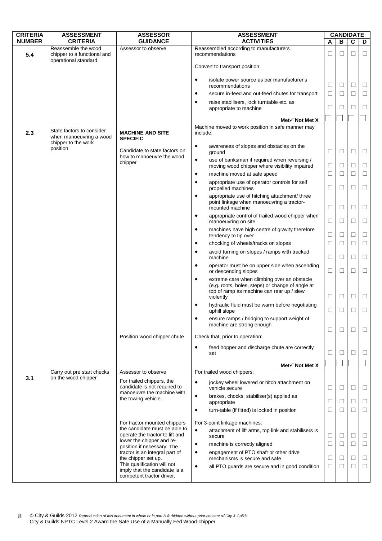| <b>CRITERIA</b> | <b>ASSESSMENT</b>                                                          | <b>ASSESSOR</b>                                                                                  | <b>ASSESSMENT</b>                                                                                                                                                      |        |        | <b>CANDIDATE</b> |        |
|-----------------|----------------------------------------------------------------------------|--------------------------------------------------------------------------------------------------|------------------------------------------------------------------------------------------------------------------------------------------------------------------------|--------|--------|------------------|--------|
| <b>NUMBER</b>   | <b>CRITERIA</b>                                                            | <b>GUIDANCE</b>                                                                                  | <b>ACTIVITIES</b>                                                                                                                                                      | A      | B      | С                | D      |
| 5.4             | Reassemble the wood<br>chipper to a functional and<br>operational standard | Assessor to observe                                                                              | Reassembled according to manufacturers<br>recommendations                                                                                                              | □      | □      | $\Box$           | □      |
|                 |                                                                            |                                                                                                  | Convert to transport position:                                                                                                                                         |        |        |                  |        |
|                 |                                                                            |                                                                                                  | isolate power source as per manufacturer's<br>$\bullet$<br>recommendations                                                                                             | ⊔      | $\Box$ | □                | ⊔      |
|                 |                                                                            |                                                                                                  | secure in-feed and out-feed chutes for transport<br>$\bullet$                                                                                                          | $\Box$ | $\Box$ | $\Box$           | $\Box$ |
|                 |                                                                            |                                                                                                  | raise stabilisers, lock turntable etc. as<br>appropriate to machine                                                                                                    | $\Box$ | $\Box$ | ⊔                | □      |
|                 |                                                                            |                                                                                                  | Met $\checkmark$ Not Met X                                                                                                                                             |        |        |                  |        |
| 2.3             | State factors to consider<br>when manoeuvring a wood                       | <b>MACHINE AND SITE</b><br><b>SPECIFIC</b>                                                       | Machine moved to work position in safe manner may<br>include:                                                                                                          |        |        |                  |        |
|                 | chipper to the work<br>position                                            | Candidate to state factors on<br>how to manoeuvre the wood                                       | $\bullet$<br>awareness of slopes and obstacles on the<br>ground                                                                                                        | $\Box$ | $\Box$ | $\Box$           | $\Box$ |
|                 |                                                                            | chipper                                                                                          | use of banksman if required when reversing /<br>$\bullet$<br>moving wood chipper where visibility impaired                                                             | $\Box$ | □      | □                | □      |
|                 |                                                                            |                                                                                                  | machine moved at safe speed<br>$\bullet$                                                                                                                               | ⊔      | □      | □                | $\Box$ |
|                 |                                                                            |                                                                                                  | appropriate use of operator controls for self<br>$\bullet$<br>propelled machines                                                                                       | ⊔      | □      | □                | □      |
|                 |                                                                            |                                                                                                  | appropriate use of hitching attachment/ three<br>$\bullet$<br>point linkage when manoeuvring a tractor-<br>mounted machine                                             | $\Box$ | $\Box$ | □                | □      |
|                 |                                                                            |                                                                                                  | appropriate control of trailed wood chipper when<br>$\bullet$<br>manoeuvring on site                                                                                   | $\Box$ | $\Box$ | $\Box$           | $\Box$ |
|                 |                                                                            |                                                                                                  | machines have high centre of gravity therefore<br>٠<br>tendency to tip over                                                                                            | $\Box$ | $\Box$ | □                | $\Box$ |
|                 |                                                                            |                                                                                                  | chocking of wheels/tracks on slopes<br>$\bullet$                                                                                                                       | ⊔      | □      | $\perp$          | □      |
|                 |                                                                            |                                                                                                  | avoid turning on slopes / ramps with tracked<br>٠<br>machine                                                                                                           | $\Box$ | □      | $\Box$           | $\Box$ |
|                 |                                                                            |                                                                                                  | operator must be on upper side when ascending<br>$\bullet$<br>or descending slopes                                                                                     | $\Box$ | $\Box$ | $\Box$           | $\Box$ |
|                 |                                                                            |                                                                                                  | extreme care when climbing over an obstacle<br>$\bullet$<br>(e.g. roots, holes, steps) or change of angle at<br>top of ramp as machine can rear up / slew<br>violently | $\Box$ | $\Box$ | □                | ⊔      |
|                 |                                                                            |                                                                                                  | hydraulic fluid must be warm before negotiating<br>uphill slope                                                                                                        | □      | □      | П                | □      |
|                 |                                                                            |                                                                                                  | ensure ramps / bridging to support weight of<br>$\bullet$<br>machine are strong enough                                                                                 | ⊔      | □      | $\Box$           | □      |
|                 |                                                                            | Position wood chipper chute                                                                      | Check that, prior to operation:                                                                                                                                        |        |        |                  |        |
|                 |                                                                            |                                                                                                  | feed hopper and discharge chute are correctly<br>$\bullet$<br>set                                                                                                      | □      | $\Box$ | П                | □      |
|                 |                                                                            |                                                                                                  | Met $\checkmark$ Not Met X                                                                                                                                             |        |        |                  |        |
|                 | Carry out pre start checks                                                 | Assessor to observe                                                                              | For trailed wood chippers:                                                                                                                                             |        |        |                  |        |
| 3.1             | on the wood chipper                                                        | For trailed chippers, the<br>candidate is not required to<br>manoeuvre the machine with          | jockey wheel lowered or hitch attachment on<br>$\bullet$<br>vehicle secure                                                                                             | ⊔      | □      | □                | ⊔      |
|                 |                                                                            | the towing vehicle.                                                                              | brakes, chocks, stabiliser(s) applied as<br>$\bullet$<br>appropriate                                                                                                   | ⊔      | □      | ⊔                | ⊔      |
|                 |                                                                            |                                                                                                  | turn-table (if fitted) is locked in position<br>$\bullet$                                                                                                              | $\Box$ | □      | $\Box$           | $\Box$ |
|                 |                                                                            | For tractor mounted chippers<br>the candidate must be able to<br>operate the tractor to lift and | For 3-point linkage machines:<br>attachment of lift arms, top link and stabilisers is<br>$\bullet$<br>secure                                                           | $\Box$ | $\Box$ | □                | ⊔      |
|                 |                                                                            | lower the chipper and re-<br>position if necessary. The                                          | $\bullet$<br>machine is correctly aligned                                                                                                                              | $\Box$ | $\Box$ | $\Box$           | $\Box$ |
|                 |                                                                            | tractor is an integral part of<br>the chipper set up.<br>This qualification will not             | engagement of PTO shaft or other drive<br>$\bullet$<br>mechanisms is secure and safe                                                                                   | $\Box$ | □      | □                | $\Box$ |
|                 |                                                                            | imply that the candidate is a<br>competent tractor driver.                                       | all PTO guards are secure and in good condition<br>$\bullet$                                                                                                           | $\Box$ | $\Box$ | $\Box$           | $\Box$ |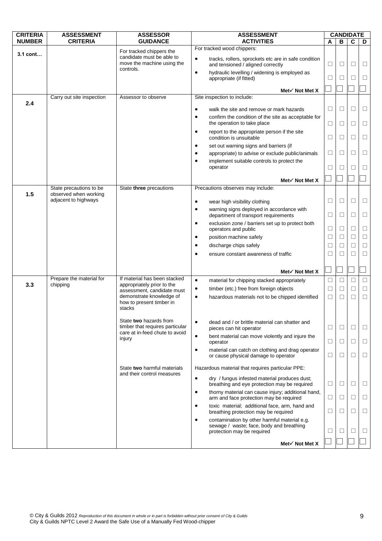| В<br>D<br>A<br>For tracked wood chippers:<br>For tracked chippers the<br>$3.1$ cont<br>candidate must be able to<br>$\bullet$<br>tracks, rollers, sprockets etc are in safe condition<br>move the machine using the<br>$\Box$<br>□<br>and tensioned / aligned correctly<br>⊔<br>$\vert \ \ \vert$<br>controls.<br>hydraulic levelling / widening is employed as<br>$\bullet$<br>$\Box$<br>□<br>П<br>⊔<br>appropriate (if fitted)<br>Met $\checkmark$ Not Met X<br>Site inspection to include:<br>Carry out site inspection<br>Assessor to observe<br>2.4<br>$\Box$<br>$\Box$<br>□<br>□<br>$\bullet$<br>walk the site and remove or mark hazards<br>confirm the condition of the site as acceptable for<br>$\bullet$<br>the operation to take place<br>$\Box$<br>□<br>□<br>□<br>$\bullet$<br>report to the appropriate person if the site<br>$\Box$<br>$\Box$<br>condition is unsuitable<br>П<br>⊔<br>set out warning signs and barriers (if<br>$\bullet$<br>$\Box$<br>□<br>appropriate) to advise or exclude public/animals<br>⊔<br>⊔<br>$\bullet$<br>implement suitable controls to protect the<br>$\bullet$<br>operator<br>$\Box$<br>П<br>$\perp$<br>$\vert \ \ \vert$<br>Met $\checkmark$ Not Met X<br>State three precautions<br>Precautions observes may include:<br>State precautions to be<br>observed when working<br>1.5<br>adjacent to highways<br>□<br>$\Box$<br>⊔<br>$\bullet$<br>wear high visibility clothing<br>⊔<br>warning signs deployed in accordance with<br>$\bullet$<br>$\Box$<br>$\Box$<br>department of transport requirements<br>$\Box$<br>□<br>exclusion zone / barriers set up to protect both<br>$\bullet$<br>$\Box$<br>$\Box$<br>$\Box$<br>$\Box$<br>operators and public<br>$\Box$<br>□<br>$\Box$<br>$\Box$<br>position machine safely<br>$\bullet$<br>$\Box$<br>discharge chips safely<br>□<br>□<br>⊔<br>$\bullet$<br>$\Box$<br>$\Box$<br>□<br>□<br>ensure constant awareness of traffic<br>$\bullet$<br>Met $\checkmark$ Not Met X<br>If material has been stacked<br>Prepare the material for<br>$\bullet$<br>$\Box$<br>$\Box$<br>material for chipping stacked appropriately<br>□<br>□<br>3.3<br>chipping<br>appropriately prior to the<br>$\Box$<br>$\Box$<br>timber (etc.) free from foreign objects<br>$\Box$<br>□<br>$\bullet$<br>assessment, candidate must<br>demonstrate knowledge of<br>$\Box$<br>$\bullet$<br>hazardous materials not to be chipped identified<br>$\Box$<br>□<br>□<br>how to present timber in<br>stacks<br>State two hazards from<br>dead and / or brittle material can shatter and<br>$\bullet$<br>timber that requires particular<br>□<br>□<br>pieces can hit operator<br>⊔<br>$\vert \ \ \vert$<br>care at in-feed chute to avoid<br>$\bullet$<br>bent material can move violently and injure the<br>injury<br>□<br>⊔<br>⊔<br>⊔<br>operator<br>material can catch on clothing and drag operator<br>$\bullet$<br>□<br>□<br>⊔<br>⊔<br>or cause physical damage to operator<br>State two harmful materials<br>Hazardous material that requires particular PPE:<br>and their control measures<br>$\bullet$<br>dry / fungus infested material produces dust;<br>breathing and eye protection may be required<br>□<br>⊔<br>⊔<br>⊔<br>thorny material can cause injury; additional hand,<br>$\bullet$<br>arm and face protection may be required<br>⊔<br>$\Box$<br>⊔<br>⊔<br>toxic material; additional face, arm, hand and<br>$\bullet$<br>$\Box$<br>□<br>□<br>□<br>breathing protection may be required<br>contamination by other harmful material e.g.<br>$\bullet$<br>sewage / waste; face, body and breathing<br>□<br>□<br>protection may be required<br>⊔<br>⊔<br>Met√ Not Met X | <b>CRITERIA</b> | <b>ASSESSMENT</b> | <b>ASSESSOR</b> | <b>ASSESSMENT</b> | <b>CANDIDATE</b> |   |  |
|------------------------------------------------------------------------------------------------------------------------------------------------------------------------------------------------------------------------------------------------------------------------------------------------------------------------------------------------------------------------------------------------------------------------------------------------------------------------------------------------------------------------------------------------------------------------------------------------------------------------------------------------------------------------------------------------------------------------------------------------------------------------------------------------------------------------------------------------------------------------------------------------------------------------------------------------------------------------------------------------------------------------------------------------------------------------------------------------------------------------------------------------------------------------------------------------------------------------------------------------------------------------------------------------------------------------------------------------------------------------------------------------------------------------------------------------------------------------------------------------------------------------------------------------------------------------------------------------------------------------------------------------------------------------------------------------------------------------------------------------------------------------------------------------------------------------------------------------------------------------------------------------------------------------------------------------------------------------------------------------------------------------------------------------------------------------------------------------------------------------------------------------------------------------------------------------------------------------------------------------------------------------------------------------------------------------------------------------------------------------------------------------------------------------------------------------------------------------------------------------------------------------------------------------------------------------------------------------------------------------------------------------------------------------------------------------------------------------------------------------------------------------------------------------------------------------------------------------------------------------------------------------------------------------------------------------------------------------------------------------------------------------------------------------------------------------------------------------------------------------------------------------------------------------------------------------------------------------------------------------------------------------------------------------------------------------------------------------------------------------------------------------------------------------------------------------------------------------------------------------------------------------------------------------------------------------------------------------------------------------------------------------|-----------------|-------------------|-----------------|-------------------|------------------|---|--|
|                                                                                                                                                                                                                                                                                                                                                                                                                                                                                                                                                                                                                                                                                                                                                                                                                                                                                                                                                                                                                                                                                                                                                                                                                                                                                                                                                                                                                                                                                                                                                                                                                                                                                                                                                                                                                                                                                                                                                                                                                                                                                                                                                                                                                                                                                                                                                                                                                                                                                                                                                                                                                                                                                                                                                                                                                                                                                                                                                                                                                                                                                                                                                                                                                                                                                                                                                                                                                                                                                                                                                                                                                                                | <b>NUMBER</b>   | <b>CRITERIA</b>   | <b>GUIDANCE</b> | <b>ACTIVITIES</b> |                  | C |  |
|                                                                                                                                                                                                                                                                                                                                                                                                                                                                                                                                                                                                                                                                                                                                                                                                                                                                                                                                                                                                                                                                                                                                                                                                                                                                                                                                                                                                                                                                                                                                                                                                                                                                                                                                                                                                                                                                                                                                                                                                                                                                                                                                                                                                                                                                                                                                                                                                                                                                                                                                                                                                                                                                                                                                                                                                                                                                                                                                                                                                                                                                                                                                                                                                                                                                                                                                                                                                                                                                                                                                                                                                                                                |                 |                   |                 |                   |                  |   |  |
|                                                                                                                                                                                                                                                                                                                                                                                                                                                                                                                                                                                                                                                                                                                                                                                                                                                                                                                                                                                                                                                                                                                                                                                                                                                                                                                                                                                                                                                                                                                                                                                                                                                                                                                                                                                                                                                                                                                                                                                                                                                                                                                                                                                                                                                                                                                                                                                                                                                                                                                                                                                                                                                                                                                                                                                                                                                                                                                                                                                                                                                                                                                                                                                                                                                                                                                                                                                                                                                                                                                                                                                                                                                |                 |                   |                 |                   |                  |   |  |
|                                                                                                                                                                                                                                                                                                                                                                                                                                                                                                                                                                                                                                                                                                                                                                                                                                                                                                                                                                                                                                                                                                                                                                                                                                                                                                                                                                                                                                                                                                                                                                                                                                                                                                                                                                                                                                                                                                                                                                                                                                                                                                                                                                                                                                                                                                                                                                                                                                                                                                                                                                                                                                                                                                                                                                                                                                                                                                                                                                                                                                                                                                                                                                                                                                                                                                                                                                                                                                                                                                                                                                                                                                                |                 |                   |                 |                   |                  |   |  |
|                                                                                                                                                                                                                                                                                                                                                                                                                                                                                                                                                                                                                                                                                                                                                                                                                                                                                                                                                                                                                                                                                                                                                                                                                                                                                                                                                                                                                                                                                                                                                                                                                                                                                                                                                                                                                                                                                                                                                                                                                                                                                                                                                                                                                                                                                                                                                                                                                                                                                                                                                                                                                                                                                                                                                                                                                                                                                                                                                                                                                                                                                                                                                                                                                                                                                                                                                                                                                                                                                                                                                                                                                                                |                 |                   |                 |                   |                  |   |  |
|                                                                                                                                                                                                                                                                                                                                                                                                                                                                                                                                                                                                                                                                                                                                                                                                                                                                                                                                                                                                                                                                                                                                                                                                                                                                                                                                                                                                                                                                                                                                                                                                                                                                                                                                                                                                                                                                                                                                                                                                                                                                                                                                                                                                                                                                                                                                                                                                                                                                                                                                                                                                                                                                                                                                                                                                                                                                                                                                                                                                                                                                                                                                                                                                                                                                                                                                                                                                                                                                                                                                                                                                                                                |                 |                   |                 |                   |                  |   |  |
|                                                                                                                                                                                                                                                                                                                                                                                                                                                                                                                                                                                                                                                                                                                                                                                                                                                                                                                                                                                                                                                                                                                                                                                                                                                                                                                                                                                                                                                                                                                                                                                                                                                                                                                                                                                                                                                                                                                                                                                                                                                                                                                                                                                                                                                                                                                                                                                                                                                                                                                                                                                                                                                                                                                                                                                                                                                                                                                                                                                                                                                                                                                                                                                                                                                                                                                                                                                                                                                                                                                                                                                                                                                |                 |                   |                 |                   |                  |   |  |
|                                                                                                                                                                                                                                                                                                                                                                                                                                                                                                                                                                                                                                                                                                                                                                                                                                                                                                                                                                                                                                                                                                                                                                                                                                                                                                                                                                                                                                                                                                                                                                                                                                                                                                                                                                                                                                                                                                                                                                                                                                                                                                                                                                                                                                                                                                                                                                                                                                                                                                                                                                                                                                                                                                                                                                                                                                                                                                                                                                                                                                                                                                                                                                                                                                                                                                                                                                                                                                                                                                                                                                                                                                                |                 |                   |                 |                   |                  |   |  |
|                                                                                                                                                                                                                                                                                                                                                                                                                                                                                                                                                                                                                                                                                                                                                                                                                                                                                                                                                                                                                                                                                                                                                                                                                                                                                                                                                                                                                                                                                                                                                                                                                                                                                                                                                                                                                                                                                                                                                                                                                                                                                                                                                                                                                                                                                                                                                                                                                                                                                                                                                                                                                                                                                                                                                                                                                                                                                                                                                                                                                                                                                                                                                                                                                                                                                                                                                                                                                                                                                                                                                                                                                                                |                 |                   |                 |                   |                  |   |  |
|                                                                                                                                                                                                                                                                                                                                                                                                                                                                                                                                                                                                                                                                                                                                                                                                                                                                                                                                                                                                                                                                                                                                                                                                                                                                                                                                                                                                                                                                                                                                                                                                                                                                                                                                                                                                                                                                                                                                                                                                                                                                                                                                                                                                                                                                                                                                                                                                                                                                                                                                                                                                                                                                                                                                                                                                                                                                                                                                                                                                                                                                                                                                                                                                                                                                                                                                                                                                                                                                                                                                                                                                                                                |                 |                   |                 |                   |                  |   |  |
|                                                                                                                                                                                                                                                                                                                                                                                                                                                                                                                                                                                                                                                                                                                                                                                                                                                                                                                                                                                                                                                                                                                                                                                                                                                                                                                                                                                                                                                                                                                                                                                                                                                                                                                                                                                                                                                                                                                                                                                                                                                                                                                                                                                                                                                                                                                                                                                                                                                                                                                                                                                                                                                                                                                                                                                                                                                                                                                                                                                                                                                                                                                                                                                                                                                                                                                                                                                                                                                                                                                                                                                                                                                |                 |                   |                 |                   |                  |   |  |
|                                                                                                                                                                                                                                                                                                                                                                                                                                                                                                                                                                                                                                                                                                                                                                                                                                                                                                                                                                                                                                                                                                                                                                                                                                                                                                                                                                                                                                                                                                                                                                                                                                                                                                                                                                                                                                                                                                                                                                                                                                                                                                                                                                                                                                                                                                                                                                                                                                                                                                                                                                                                                                                                                                                                                                                                                                                                                                                                                                                                                                                                                                                                                                                                                                                                                                                                                                                                                                                                                                                                                                                                                                                |                 |                   |                 |                   |                  |   |  |
|                                                                                                                                                                                                                                                                                                                                                                                                                                                                                                                                                                                                                                                                                                                                                                                                                                                                                                                                                                                                                                                                                                                                                                                                                                                                                                                                                                                                                                                                                                                                                                                                                                                                                                                                                                                                                                                                                                                                                                                                                                                                                                                                                                                                                                                                                                                                                                                                                                                                                                                                                                                                                                                                                                                                                                                                                                                                                                                                                                                                                                                                                                                                                                                                                                                                                                                                                                                                                                                                                                                                                                                                                                                |                 |                   |                 |                   |                  |   |  |
|                                                                                                                                                                                                                                                                                                                                                                                                                                                                                                                                                                                                                                                                                                                                                                                                                                                                                                                                                                                                                                                                                                                                                                                                                                                                                                                                                                                                                                                                                                                                                                                                                                                                                                                                                                                                                                                                                                                                                                                                                                                                                                                                                                                                                                                                                                                                                                                                                                                                                                                                                                                                                                                                                                                                                                                                                                                                                                                                                                                                                                                                                                                                                                                                                                                                                                                                                                                                                                                                                                                                                                                                                                                |                 |                   |                 |                   |                  |   |  |
|                                                                                                                                                                                                                                                                                                                                                                                                                                                                                                                                                                                                                                                                                                                                                                                                                                                                                                                                                                                                                                                                                                                                                                                                                                                                                                                                                                                                                                                                                                                                                                                                                                                                                                                                                                                                                                                                                                                                                                                                                                                                                                                                                                                                                                                                                                                                                                                                                                                                                                                                                                                                                                                                                                                                                                                                                                                                                                                                                                                                                                                                                                                                                                                                                                                                                                                                                                                                                                                                                                                                                                                                                                                |                 |                   |                 |                   |                  |   |  |
|                                                                                                                                                                                                                                                                                                                                                                                                                                                                                                                                                                                                                                                                                                                                                                                                                                                                                                                                                                                                                                                                                                                                                                                                                                                                                                                                                                                                                                                                                                                                                                                                                                                                                                                                                                                                                                                                                                                                                                                                                                                                                                                                                                                                                                                                                                                                                                                                                                                                                                                                                                                                                                                                                                                                                                                                                                                                                                                                                                                                                                                                                                                                                                                                                                                                                                                                                                                                                                                                                                                                                                                                                                                |                 |                   |                 |                   |                  |   |  |
|                                                                                                                                                                                                                                                                                                                                                                                                                                                                                                                                                                                                                                                                                                                                                                                                                                                                                                                                                                                                                                                                                                                                                                                                                                                                                                                                                                                                                                                                                                                                                                                                                                                                                                                                                                                                                                                                                                                                                                                                                                                                                                                                                                                                                                                                                                                                                                                                                                                                                                                                                                                                                                                                                                                                                                                                                                                                                                                                                                                                                                                                                                                                                                                                                                                                                                                                                                                                                                                                                                                                                                                                                                                |                 |                   |                 |                   |                  |   |  |
|                                                                                                                                                                                                                                                                                                                                                                                                                                                                                                                                                                                                                                                                                                                                                                                                                                                                                                                                                                                                                                                                                                                                                                                                                                                                                                                                                                                                                                                                                                                                                                                                                                                                                                                                                                                                                                                                                                                                                                                                                                                                                                                                                                                                                                                                                                                                                                                                                                                                                                                                                                                                                                                                                                                                                                                                                                                                                                                                                                                                                                                                                                                                                                                                                                                                                                                                                                                                                                                                                                                                                                                                                                                |                 |                   |                 |                   |                  |   |  |
|                                                                                                                                                                                                                                                                                                                                                                                                                                                                                                                                                                                                                                                                                                                                                                                                                                                                                                                                                                                                                                                                                                                                                                                                                                                                                                                                                                                                                                                                                                                                                                                                                                                                                                                                                                                                                                                                                                                                                                                                                                                                                                                                                                                                                                                                                                                                                                                                                                                                                                                                                                                                                                                                                                                                                                                                                                                                                                                                                                                                                                                                                                                                                                                                                                                                                                                                                                                                                                                                                                                                                                                                                                                |                 |                   |                 |                   |                  |   |  |
|                                                                                                                                                                                                                                                                                                                                                                                                                                                                                                                                                                                                                                                                                                                                                                                                                                                                                                                                                                                                                                                                                                                                                                                                                                                                                                                                                                                                                                                                                                                                                                                                                                                                                                                                                                                                                                                                                                                                                                                                                                                                                                                                                                                                                                                                                                                                                                                                                                                                                                                                                                                                                                                                                                                                                                                                                                                                                                                                                                                                                                                                                                                                                                                                                                                                                                                                                                                                                                                                                                                                                                                                                                                |                 |                   |                 |                   |                  |   |  |
|                                                                                                                                                                                                                                                                                                                                                                                                                                                                                                                                                                                                                                                                                                                                                                                                                                                                                                                                                                                                                                                                                                                                                                                                                                                                                                                                                                                                                                                                                                                                                                                                                                                                                                                                                                                                                                                                                                                                                                                                                                                                                                                                                                                                                                                                                                                                                                                                                                                                                                                                                                                                                                                                                                                                                                                                                                                                                                                                                                                                                                                                                                                                                                                                                                                                                                                                                                                                                                                                                                                                                                                                                                                |                 |                   |                 |                   |                  |   |  |
|                                                                                                                                                                                                                                                                                                                                                                                                                                                                                                                                                                                                                                                                                                                                                                                                                                                                                                                                                                                                                                                                                                                                                                                                                                                                                                                                                                                                                                                                                                                                                                                                                                                                                                                                                                                                                                                                                                                                                                                                                                                                                                                                                                                                                                                                                                                                                                                                                                                                                                                                                                                                                                                                                                                                                                                                                                                                                                                                                                                                                                                                                                                                                                                                                                                                                                                                                                                                                                                                                                                                                                                                                                                |                 |                   |                 |                   |                  |   |  |
|                                                                                                                                                                                                                                                                                                                                                                                                                                                                                                                                                                                                                                                                                                                                                                                                                                                                                                                                                                                                                                                                                                                                                                                                                                                                                                                                                                                                                                                                                                                                                                                                                                                                                                                                                                                                                                                                                                                                                                                                                                                                                                                                                                                                                                                                                                                                                                                                                                                                                                                                                                                                                                                                                                                                                                                                                                                                                                                                                                                                                                                                                                                                                                                                                                                                                                                                                                                                                                                                                                                                                                                                                                                |                 |                   |                 |                   |                  |   |  |
|                                                                                                                                                                                                                                                                                                                                                                                                                                                                                                                                                                                                                                                                                                                                                                                                                                                                                                                                                                                                                                                                                                                                                                                                                                                                                                                                                                                                                                                                                                                                                                                                                                                                                                                                                                                                                                                                                                                                                                                                                                                                                                                                                                                                                                                                                                                                                                                                                                                                                                                                                                                                                                                                                                                                                                                                                                                                                                                                                                                                                                                                                                                                                                                                                                                                                                                                                                                                                                                                                                                                                                                                                                                |                 |                   |                 |                   |                  |   |  |
|                                                                                                                                                                                                                                                                                                                                                                                                                                                                                                                                                                                                                                                                                                                                                                                                                                                                                                                                                                                                                                                                                                                                                                                                                                                                                                                                                                                                                                                                                                                                                                                                                                                                                                                                                                                                                                                                                                                                                                                                                                                                                                                                                                                                                                                                                                                                                                                                                                                                                                                                                                                                                                                                                                                                                                                                                                                                                                                                                                                                                                                                                                                                                                                                                                                                                                                                                                                                                                                                                                                                                                                                                                                |                 |                   |                 |                   |                  |   |  |
|                                                                                                                                                                                                                                                                                                                                                                                                                                                                                                                                                                                                                                                                                                                                                                                                                                                                                                                                                                                                                                                                                                                                                                                                                                                                                                                                                                                                                                                                                                                                                                                                                                                                                                                                                                                                                                                                                                                                                                                                                                                                                                                                                                                                                                                                                                                                                                                                                                                                                                                                                                                                                                                                                                                                                                                                                                                                                                                                                                                                                                                                                                                                                                                                                                                                                                                                                                                                                                                                                                                                                                                                                                                |                 |                   |                 |                   |                  |   |  |
|                                                                                                                                                                                                                                                                                                                                                                                                                                                                                                                                                                                                                                                                                                                                                                                                                                                                                                                                                                                                                                                                                                                                                                                                                                                                                                                                                                                                                                                                                                                                                                                                                                                                                                                                                                                                                                                                                                                                                                                                                                                                                                                                                                                                                                                                                                                                                                                                                                                                                                                                                                                                                                                                                                                                                                                                                                                                                                                                                                                                                                                                                                                                                                                                                                                                                                                                                                                                                                                                                                                                                                                                                                                |                 |                   |                 |                   |                  |   |  |
|                                                                                                                                                                                                                                                                                                                                                                                                                                                                                                                                                                                                                                                                                                                                                                                                                                                                                                                                                                                                                                                                                                                                                                                                                                                                                                                                                                                                                                                                                                                                                                                                                                                                                                                                                                                                                                                                                                                                                                                                                                                                                                                                                                                                                                                                                                                                                                                                                                                                                                                                                                                                                                                                                                                                                                                                                                                                                                                                                                                                                                                                                                                                                                                                                                                                                                                                                                                                                                                                                                                                                                                                                                                |                 |                   |                 |                   |                  |   |  |
|                                                                                                                                                                                                                                                                                                                                                                                                                                                                                                                                                                                                                                                                                                                                                                                                                                                                                                                                                                                                                                                                                                                                                                                                                                                                                                                                                                                                                                                                                                                                                                                                                                                                                                                                                                                                                                                                                                                                                                                                                                                                                                                                                                                                                                                                                                                                                                                                                                                                                                                                                                                                                                                                                                                                                                                                                                                                                                                                                                                                                                                                                                                                                                                                                                                                                                                                                                                                                                                                                                                                                                                                                                                |                 |                   |                 |                   |                  |   |  |
|                                                                                                                                                                                                                                                                                                                                                                                                                                                                                                                                                                                                                                                                                                                                                                                                                                                                                                                                                                                                                                                                                                                                                                                                                                                                                                                                                                                                                                                                                                                                                                                                                                                                                                                                                                                                                                                                                                                                                                                                                                                                                                                                                                                                                                                                                                                                                                                                                                                                                                                                                                                                                                                                                                                                                                                                                                                                                                                                                                                                                                                                                                                                                                                                                                                                                                                                                                                                                                                                                                                                                                                                                                                |                 |                   |                 |                   |                  |   |  |
|                                                                                                                                                                                                                                                                                                                                                                                                                                                                                                                                                                                                                                                                                                                                                                                                                                                                                                                                                                                                                                                                                                                                                                                                                                                                                                                                                                                                                                                                                                                                                                                                                                                                                                                                                                                                                                                                                                                                                                                                                                                                                                                                                                                                                                                                                                                                                                                                                                                                                                                                                                                                                                                                                                                                                                                                                                                                                                                                                                                                                                                                                                                                                                                                                                                                                                                                                                                                                                                                                                                                                                                                                                                |                 |                   |                 |                   |                  |   |  |
|                                                                                                                                                                                                                                                                                                                                                                                                                                                                                                                                                                                                                                                                                                                                                                                                                                                                                                                                                                                                                                                                                                                                                                                                                                                                                                                                                                                                                                                                                                                                                                                                                                                                                                                                                                                                                                                                                                                                                                                                                                                                                                                                                                                                                                                                                                                                                                                                                                                                                                                                                                                                                                                                                                                                                                                                                                                                                                                                                                                                                                                                                                                                                                                                                                                                                                                                                                                                                                                                                                                                                                                                                                                |                 |                   |                 |                   |                  |   |  |
|                                                                                                                                                                                                                                                                                                                                                                                                                                                                                                                                                                                                                                                                                                                                                                                                                                                                                                                                                                                                                                                                                                                                                                                                                                                                                                                                                                                                                                                                                                                                                                                                                                                                                                                                                                                                                                                                                                                                                                                                                                                                                                                                                                                                                                                                                                                                                                                                                                                                                                                                                                                                                                                                                                                                                                                                                                                                                                                                                                                                                                                                                                                                                                                                                                                                                                                                                                                                                                                                                                                                                                                                                                                |                 |                   |                 |                   |                  |   |  |
|                                                                                                                                                                                                                                                                                                                                                                                                                                                                                                                                                                                                                                                                                                                                                                                                                                                                                                                                                                                                                                                                                                                                                                                                                                                                                                                                                                                                                                                                                                                                                                                                                                                                                                                                                                                                                                                                                                                                                                                                                                                                                                                                                                                                                                                                                                                                                                                                                                                                                                                                                                                                                                                                                                                                                                                                                                                                                                                                                                                                                                                                                                                                                                                                                                                                                                                                                                                                                                                                                                                                                                                                                                                |                 |                   |                 |                   |                  |   |  |
|                                                                                                                                                                                                                                                                                                                                                                                                                                                                                                                                                                                                                                                                                                                                                                                                                                                                                                                                                                                                                                                                                                                                                                                                                                                                                                                                                                                                                                                                                                                                                                                                                                                                                                                                                                                                                                                                                                                                                                                                                                                                                                                                                                                                                                                                                                                                                                                                                                                                                                                                                                                                                                                                                                                                                                                                                                                                                                                                                                                                                                                                                                                                                                                                                                                                                                                                                                                                                                                                                                                                                                                                                                                |                 |                   |                 |                   |                  |   |  |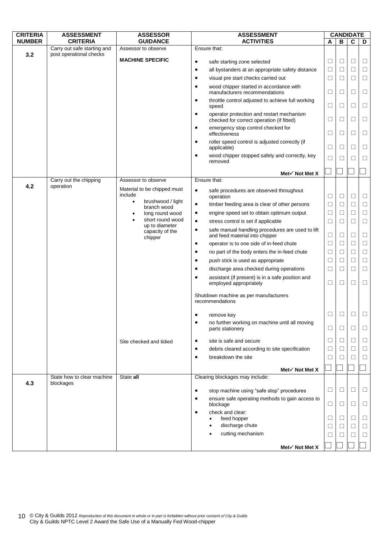| <b>CRITERIA</b> | <b>ASSESSMENT</b>                              | <b>ASSESSOR</b>                        | <b>ASSESSMENT</b>                                                                           |        | <b>CANDIDATE</b>  |        |        |
|-----------------|------------------------------------------------|----------------------------------------|---------------------------------------------------------------------------------------------|--------|-------------------|--------|--------|
| <b>NUMBER</b>   | <b>CRITERIA</b><br>Carry out safe starting and | <b>GUIDANCE</b><br>Assessor to observe | <b>ACTIVITIES</b><br>Ensure that:                                                           | A      | B                 | C      | D      |
| 3.2             | post operational checks                        |                                        |                                                                                             |        |                   |        |        |
|                 |                                                | <b>MACHINE SPECIFIC</b>                | safe starting zone selected<br>$\bullet$                                                    | $\Box$ | $\Box$            | $\Box$ | $\Box$ |
|                 |                                                |                                        | all bystanders at an appropriate safety distance<br>$\bullet$                               | $\Box$ | $\Box$            | $\Box$ | $\Box$ |
|                 |                                                |                                        | visual pre start checks carried out<br>$\bullet$                                            | $\Box$ | $\Box$            | $\Box$ | $\Box$ |
|                 |                                                |                                        | wood chipper started in accordance with<br>$\bullet$<br>manufacturers recommendations       | $\Box$ | □                 | $\Box$ | □      |
|                 |                                                |                                        | throttle control adjusted to achieve full working<br>$\bullet$<br>speed                     | $\Box$ | □                 | $\Box$ | ⊔      |
|                 |                                                |                                        | operator protection and restart mechanism<br>٠<br>checked for correct operation (if fitted) | $\Box$ | □                 | $\Box$ | $\Box$ |
|                 |                                                |                                        | emergency stop control checked for<br>٠<br>effectiveness                                    | □      | ⊔                 | □      | ⊔      |
|                 |                                                |                                        | roller speed control is adjusted correctly (if<br>٠<br>applicable)                          | □      | ⊔                 | □      | Ц      |
|                 |                                                |                                        | wood chipper stopped safely and correctly, key<br>$\bullet$<br>removed                      | $\Box$ | $\vert \ \ \vert$ | П      | □      |
|                 |                                                |                                        | Met $\checkmark$ Not Met X                                                                  |        |                   |        |        |
|                 | Carry out the chipping                         | Assessor to observe                    | Ensure that:                                                                                |        |                   |        |        |
| 4.2             | operation                                      | Material to be chipped must<br>include | $\bullet$<br>safe procedures are observed throughout                                        | $\Box$ | $\Box$            | $\Box$ | $\Box$ |
|                 |                                                | brushwood / light<br>$\bullet$         | operation<br>$\bullet$<br>timber feeding area is clear of other persons                     | $\Box$ | □                 | $\Box$ | □      |
|                 |                                                | branch wood<br>long round wood         | engine speed set to obtain optimum output<br>٠                                              | $\Box$ | $\Box$            | $\Box$ | $\Box$ |
|                 |                                                | $\bullet$<br>short round wood          | stress control is set if applicable<br>$\bullet$                                            | $\Box$ | □                 | $\Box$ | □      |
|                 |                                                | up to diameter<br>capacity of the      | safe manual handling procedures are used to lift<br>٠<br>and feed material into chipper     | $\Box$ | □                 | $\Box$ | $\Box$ |
|                 |                                                | chipper                                | operator is to one side of in-feed chute<br>٠                                               | $\Box$ | $\Box$            | $\Box$ | $\Box$ |
|                 |                                                |                                        | no part of the body enters the in-feed chute<br>٠                                           | $\Box$ | $\Box$            | $\Box$ | $\Box$ |
|                 |                                                |                                        | push stick is used as appropriate<br>٠                                                      | □      | ⊔                 | $\Box$ | $\Box$ |
|                 |                                                |                                        | discharge area checked during operations<br>٠                                               | $\Box$ | $\Box$            | $\Box$ | $\Box$ |
|                 |                                                |                                        | assistant (if present) is in a safe position and<br>٠<br>employed appropriately             | $\Box$ | $\Box$            | $\Box$ | $\Box$ |
|                 |                                                |                                        | Shutdown machine as per manufacturers                                                       |        |                   |        |        |
|                 |                                                |                                        | recommendations                                                                             |        |                   |        |        |
|                 |                                                |                                        | remove key<br>٠                                                                             | □      | □                 | □      | $\Box$ |
|                 |                                                |                                        | no further working on machine until all moving<br>٠<br>parts stationery                     | ⊔      | ⊔                 | □      | ⊔      |
|                 |                                                | Site checked and tidied                | site is safe and secure<br>٠                                                                | $\Box$ | □                 | $\Box$ | ⊔      |
|                 |                                                |                                        | debris cleared according to site specification<br>٠                                         | $\Box$ | └                 | □      | ⊔      |
|                 |                                                |                                        | breakdown the site<br>$\bullet$                                                             | ⊔      |                   | ⊔      | Ц      |
|                 |                                                |                                        | Met $\checkmark$ Not Met X                                                                  |        |                   |        |        |
|                 | State how to clear machine                     | State all                              | Clearing blockages may include:                                                             |        |                   |        |        |
| 4.3             | blockages                                      |                                        |                                                                                             |        |                   |        |        |
|                 |                                                |                                        | stop machine using "safe stop" procedures<br>٠                                              | ⊔      | ⊔                 | ⊔      | ப      |
|                 |                                                |                                        | ensure safe operating methods to gain access to<br>blockage                                 | $\Box$ | □                 | □      | □      |
|                 |                                                |                                        | check and clear:<br>$\bullet$<br>feed hopper                                                | $\Box$ | ⊔                 | $\Box$ | $\Box$ |
|                 |                                                |                                        | discharge chute                                                                             | $\Box$ | ⊔                 | □      | ⊔      |
|                 |                                                |                                        | cutting mechanism                                                                           | $\Box$ |                   | $\Box$ | $\Box$ |
|                 |                                                |                                        |                                                                                             |        |                   |        |        |
|                 |                                                |                                        | Met√ Not Met X                                                                              |        |                   |        |        |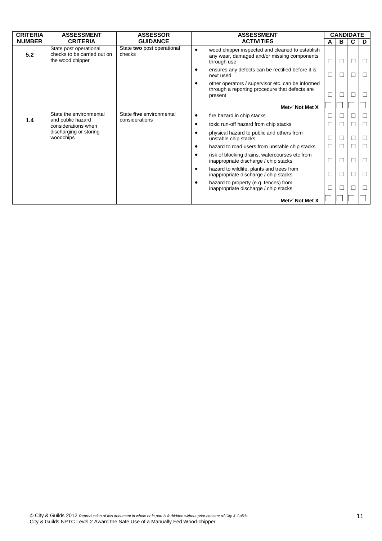| <b>CRITERIA</b> | <b>ASSESSMENT</b>                                                         | <b>ASSESSOR</b>                      |                             | <b>ASSESSMENT</b>                                                                                             |        | <b>CANDIDATE</b> |               |   |
|-----------------|---------------------------------------------------------------------------|--------------------------------------|-----------------------------|---------------------------------------------------------------------------------------------------------------|--------|------------------|---------------|---|
| <b>NUMBER</b>   | <b>CRITERIA</b>                                                           | <b>GUIDANCE</b>                      |                             | <b>ACTIVITIES</b>                                                                                             | A      | В                | C             | D |
| 5.2             | State post operational<br>checks to be carried out on<br>the wood chipper | State two post operational<br>checks | $\bullet$                   | wood chipper inspected and cleaned to establish<br>any wear, damaged and/or missing components<br>through use | $\Box$ | $\Box$           | П             |   |
|                 |                                                                           |                                      |                             | ensures any defects can be rectified before it is<br>next used                                                | $\Box$ | П                | $\mathcal{A}$ | П |
|                 |                                                                           |                                      | ٠                           | other operators / supervisor etc. can be informed<br>through a reporting procedure that defects are           | □      |                  |               |   |
|                 |                                                                           |                                      |                             | present                                                                                                       |        |                  |               |   |
|                 |                                                                           |                                      |                             | Met√ Not Met X                                                                                                |        |                  |               |   |
| 1.4             | State the environmental                                                   | State five environmental             | $\bullet$                   | fire hazard in chip stacks                                                                                    | □      | Г                | $\mathcal{A}$ | П |
|                 | and public hazard<br>considerations when                                  |                                      | considerations<br>$\bullet$ | toxic run-off hazard from chip stacks                                                                         |        |                  |               | П |
|                 | discharging or storing<br>woodchips                                       |                                      | $\bullet$                   | physical hazard to public and others from<br>unstable chip stacks                                             | $\Box$ |                  |               | П |
|                 |                                                                           |                                      | $\bullet$                   | hazard to road users from unstable chip stacks                                                                | $\Box$ | □                |               | П |
|                 |                                                                           |                                      | $\bullet$                   | risk of blocking drains, watercourses etc from<br>inappropriate discharge / chip stacks                       | $\Box$ | П                | ٦             | П |
|                 |                                                                           |                                      | $\bullet$                   | hazard to wildlife, plants and trees from<br>inappropriate discharge / chip stacks                            | $\Box$ | $\Box$           | □             | □ |
|                 |                                                                           |                                      | $\bullet$                   | hazard to property (e.g. fences) from<br>inappropriate discharge / chip stacks                                | $\Box$ | □                |               | □ |
|                 |                                                                           |                                      |                             | Met√ Not Met X                                                                                                |        |                  |               |   |